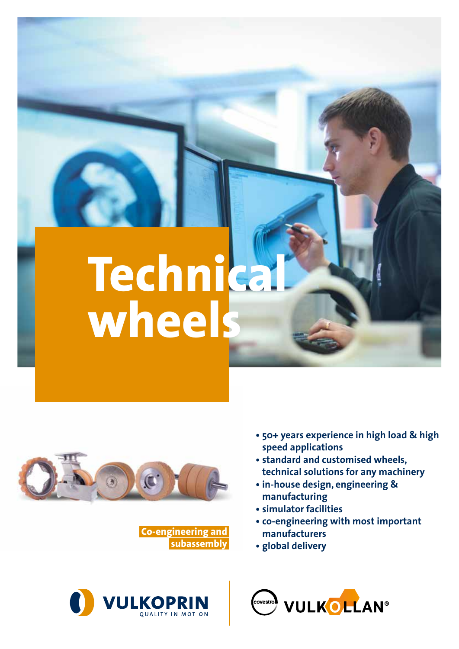# **Technical wheels**



**Co-engineering and subassembly**



- **• 50+ years experience in high load & high speed applications**
- **• standard and customised wheels, technical solutions for any machinery**
- **• in-house design, engineering & manufacturing**
- **• simulator facilities**
- **• co-engineering with most important manufacturers**
- **• global delivery**

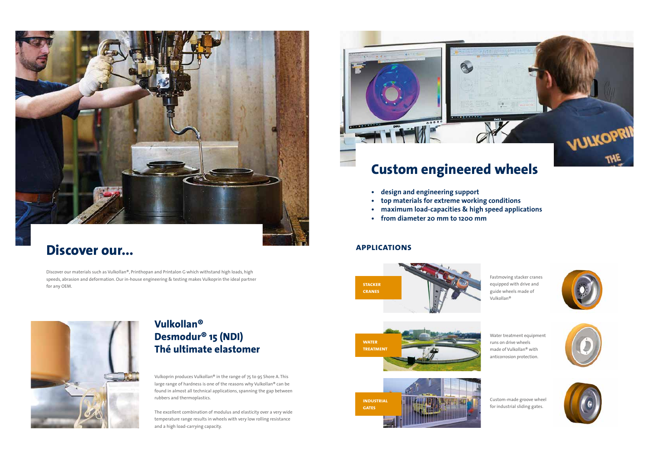Vulkoprin produces Vulkollan® in the range of 75 to 95 Shore A. This large range of hardness is one of the reasons why Vulkollan® can be found in almost all technical applications, spanning the gap between rubbers and thermoplastics.

The excellent combination of modulus and elasticity over a very wide temperature range results in wheels with very low rolling resistance and a high load-carrying capacity.





### **Discover our...**

Discover our materials such as Vulkollan®, Printhopan and Printalon G which withstand high loads, high speeds, abrasion and deformation. Our in-house engineering & testing makes Vulkoprin the ideal partner for any OEM.



### **Vulkollan® Desmodur® 15 (NDI) Thé ultimate elastomer**

Fastmoving stacker cranes equipped with drive and guide wheels made of Vulkollan®



Water treatment equipment runs on drive wheels made of Vulkollan® with anticorrosion protection.



Custom-made groove wheel for industrial sliding gates.









#### **applications**

# **Custom engineered wheels**

- **• design and engineering support**
- **• top materials for extreme working conditions**
- **• maximum load-capacities & high speed applications**
- **• from diameter 20 mm to 1200 mm**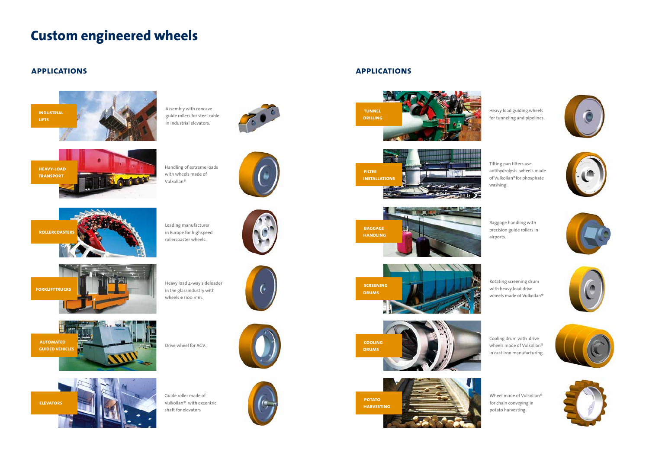## **Custom engineered wheels**

Baggage handling with precision guide rollers in airports.

Rotating screening drum with heavy load drive wheels made of Vulkollan®

Cooling drum with drive wheels made of Vulkollan® in cast iron manufacturing.









Wheel made of Vulkollan® for chain conveying in potato harvesting.











Tilting pan filters use antihydrolysis wheels made of Vulkollan®for phosphate washing.

Heavy load guiding wheels for tunneling and pipelines.



Drive wheel for AGV.

Guide roller made of Vulkollan® with excentric shaft for elevators











Heavy load 4-way sideloader in the glassindustry with wheels ø 1100 mm.

**forklifttrucks**



Handling of extreme loads with wheels made of Vulkollan®





**heavy-load transport**

> Leading manufacturer in Europe for highspeed rollercoaster wheels.



**rollercoasters**

#### **applications applications**



Assembly with concave guide rollers for steel cable in industrial elevators.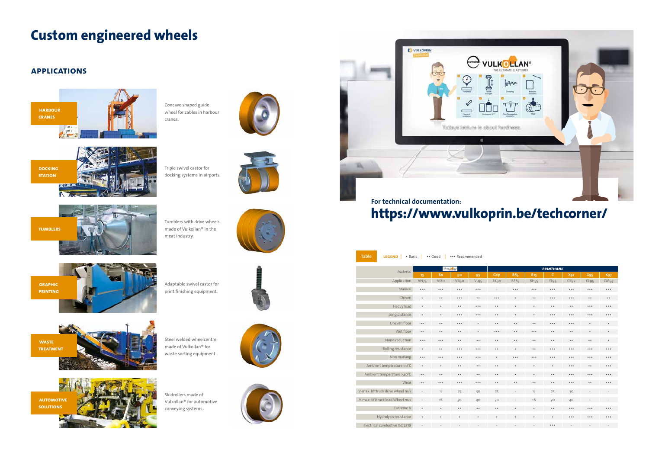| <b>Table</b><br><b>LEGEND</b><br>• Basic<br>•• Good<br>*** Recommended |                      |                               |                                                                     |                                                                             |                               |                               |                         |                               |                                                                     |                               |                               |
|------------------------------------------------------------------------|----------------------|-------------------------------|---------------------------------------------------------------------|-----------------------------------------------------------------------------|-------------------------------|-------------------------------|-------------------------|-------------------------------|---------------------------------------------------------------------|-------------------------------|-------------------------------|
| Material                                                               | $\ominus$ vulkellan' |                               |                                                                     |                                                                             | <b>PRINTHANE</b>              |                               |                         |                               |                                                                     |                               |                               |
|                                                                        | 75                   | 80                            | 90                                                                  | 95                                                                          | Grip                          | <b>B65</b>                    | <b>B75</b>              | $\mathsf{C}$                  | X92                                                                 | X95                           | <b>X97</b>                    |
| Application                                                            | <b>VH75</b>          | V <sub>180</sub>              | <b>VKgo</b>                                                         | VL95                                                                        | RK90                          | <b>BF65</b>                   | <b>BH75</b>             | YL95                          | CK92                                                                | CL95                          | CM <sub>97</sub>              |
| Manual                                                                 | $\ddot{\bullet}$     | $\bullet\; \bullet\; \bullet$ | $\bullet\bullet\bullet$                                             | $\bullet\hspace{0.1cm} \bullet\hspace{0.1cm} \bullet\hspace{0.1cm} \bullet$ | L.                            | $\bullet\,\bullet\,\bullet$   | $\bullet\bullet\bullet$ | $\bullet\; \bullet\; \bullet$ | $\bullet$ $\bullet$ $\bullet$                                       | $\bullet$ $\bullet$ $\bullet$ | $\bullet$ $\bullet$ $\bullet$ |
| Driven                                                                 | $\bullet$            | $\bullet$ $\bullet$           | $\begin{smallmatrix} \bullet & \bullet & \bullet \end{smallmatrix}$ | $\bullet$                                                                   | $\bullet\bullet\bullet$       | $\bullet$                     | $\bullet\; \bullet$     | $\bullet\bullet\bullet$       | $\begin{smallmatrix} \bullet & \bullet & \bullet \end{smallmatrix}$ | $\bullet$                     | $\bullet\; \bullet$           |
| Heavy load                                                             | $\bullet$            | $\bullet$                     | $\bullet\; \bullet$                                                 | $\bullet$ $\bullet$ $\bullet$                                               | $\bullet\; \bullet$           | $\bullet$                     | $\bullet$               | $\bullet$                     | $\bullet\; \bullet$                                                 | $\bullet$ $\bullet$ $\bullet$ | $\bullet$ $\bullet$ $\bullet$ |
| Long distance                                                          | $\bullet$            | $\bullet$                     | $\bullet\bullet\bullet$                                             | $\bullet$ $\bullet$ $\bullet$                                               | $\bullet\; \bullet$           | $\bullet$                     | $\bullet$               | $\bullet \bullet \bullet$     | $\bullet \bullet \bullet$                                           | $\bullet$ $\bullet$ $\bullet$ | $\bullet$ $\bullet$ $\bullet$ |
| Uneven floor                                                           | $\bullet$            | $\bullet$ $\bullet$           | $\cdots$                                                            | $\bullet$                                                                   | $\bullet\; \bullet$           | $\bullet$                     | $\bullet$               | $\bullet\bullet\bullet$       | $\bullet$ $\bullet$ $\bullet$                                       | $\bullet$                     | $\bullet$                     |
| Wet floor                                                              | $\bullet$            | $\bullet$ $\bullet$           | $\bullet$                                                           | $\bullet$                                                                   | $\bullet$ $\bullet$ $\bullet$ | $\bullet$                     | $\cdots$                | $\bullet$                     | $\bullet$                                                           | $\bullet$                     | $\bullet$                     |
| Noise reduction                                                        | $\ddot{\bullet}$     | $\bullet$ $\bullet$ $\bullet$ | $\bullet\; \bullet$                                                 | $\bullet$ $\bullet$                                                         | $\bullet\; \bullet$           | $\bullet$ $\bullet$           | $\bullet$ $\bullet$     | $\bullet$                     | $\bullet$                                                           | $\bullet$                     | $\bullet$                     |
| Rolling resistance                                                     | $\bullet$            | $\bullet\; \bullet$           | $\bullet\bullet\bullet$                                             | $\bullet$ $\bullet$ $\bullet$                                               | $\bullet\; \bullet$           | $\bullet$                     | $\bullet\; \bullet$     | $\bullet\; \bullet\; \bullet$ | $\cdots$                                                            | $\bullet$ $\bullet$ $\bullet$ | $\bullet$ $\bullet$ $\bullet$ |
| Non marking                                                            | $\ddot{\bullet}$     | $\ddot{\bullet}$              | $\bullet$ $\bullet$ $\bullet$                                       | $\bullet$ $\bullet$ $\bullet$                                               | $\bullet$                     | $\bullet$ $\bullet$ $\bullet$ | $\cdots$                | $\bullet$ $\bullet$ $\bullet$ | $\bullet \bullet \bullet$                                           | $\bullet \bullet \bullet$     | $\bullet \bullet \bullet$     |
| Ambient temperature < o°C                                              | $\bullet$            | $\bullet$                     | $\bullet\; \bullet$                                                 | $\bullet\; \bullet$                                                         | $\bullet\; \bullet$           | $\bullet$                     | $\bullet$               | $\bullet$                     | $\bullet$ $\bullet$ $\bullet$                                       | $\bullet\; \bullet$           | $\bullet$ $\bullet$ $\bullet$ |
| Ambient temperature >40°C                                              | $\ddot{\phantom{a}}$ | $\bullet\; \bullet$           | $\bullet$                                                           | $\bullet\; \bullet$                                                         | $\bullet$                     | $\bullet$                     | $\bullet$               | $\bullet$                     | $\bullet$ $\bullet$ $\bullet$                                       | $\bullet$ $\bullet$ $\bullet$ | $\bullet$ $\bullet$ $\bullet$ |
| Wear                                                                   | $\bullet$            | $\ddot{\bullet}$              | $\bullet\bullet\bullet$                                             | $\bullet$ $\bullet$ $\bullet$                                               | $\bullet\; \bullet$           | $\bullet$                     | $\bullet$               | $\bullet$                     | $\bullet\bullet\bullet$                                             | $\bullet\; \bullet$           | $\bullet$ $\bullet$ $\bullet$ |
| V-max. lifttruck drive wheel m/s                                       |                      | 12                            | 25                                                                  | 30                                                                          | 25                            | $\frac{1}{2}$                 | 12                      | 25                            | 30                                                                  |                               | $\overline{\phantom{a}}$      |
| V-max. lifttruck load Wheel m/s                                        | $\sim$               | 16                            | 30                                                                  | 40                                                                          | 30                            |                               | 16                      | 30                            | 40                                                                  | $\overline{\phantom{a}}$      | $\sim$                        |
| Extreme V                                                              | $\bullet$            | $\bullet$                     | $\bullet\; \bullet$                                                 | $\bullet\; \bullet$                                                         | $\bullet$                     | $\bullet$                     | $\bullet$               | $\bullet\; \bullet$           | $\bullet$ $\bullet$ $\bullet$                                       | $\bullet$ $\bullet$ $\bullet$ | $\bullet$ $\bullet$ $\bullet$ |
| Hydrolysis resistance                                                  | $\bullet$            | $\bullet$                     | $\bullet$                                                           | $\bullet$                                                                   | $\bullet$                     | $\bullet$                     | $\bullet$               | $\bullet$                     | $\bullet \bullet \bullet$                                           | $\bullet$ $\bullet$ $\bullet$ | $\bullet$ $\bullet$ $\bullet$ |
| Electrical conductive ISO2878                                          |                      |                               |                                                                     |                                                                             |                               |                               |                         | $\bullet \bullet \bullet$     |                                                                     |                               |                               |

**docking STATION** 

Triple swivel castor for docking systems in airports.

Tumblers with drive wheels made of Vulkollan® in the

meat industry.





Adaptable swivel castor for print finishing equipment.



**tumblers**

**graphic printing**

# **Custom engineered wheels**

Steel welded wheelcentre made of Vulkollan® for waste sorting equipment.



Skidrollers made of Vulkollan® for automotive conveying systems.





**automotive solutions**



Concave shaped guide wheel for cables in harbour cranes.



#### **applications**



# **https://www.vulkoprin.be/techcorner/**